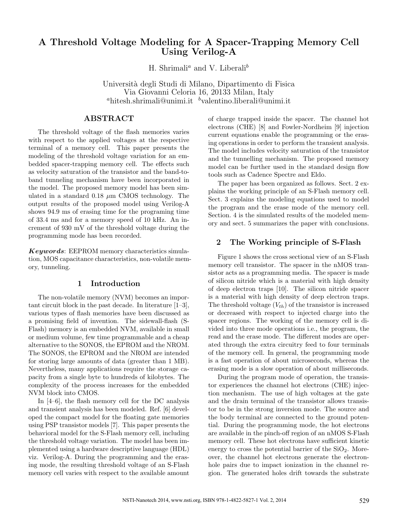# A Threshold Voltage Modeling for A Spacer-Trapping Memory Cell Using Verilog-A

H. Shrimali<sup>a</sup> and V. Liberali<sup>b</sup>

Universit`a degli Studi di Milano, Dipartimento di Fisica Via Giovanni Celoria 16, 20133 Milan, Italy  $a$ hitesh.shrimali@unimi.it bvalentino.liberali@unimi.it

# ABSTRACT

The threshold voltage of the flash memories varies with respect to the applied voltages at the respective terminal of a memory cell. This paper presents the modeling of the threshold voltage variation for an embedded spacer-trapping memory cell. The effects such as velocity saturation of the transistor and the band-toband tunneling mechanism have been incorporated in the model. The proposed memory model has been simulated in a standard  $0.18 \mu m$  CMOS technology. The output results of the proposed model using Verilog-A shows 94.9 ms of erasing time for the programing time of 33.4 ms and for a memory speed of 10 kHz. An increment of 930 mV of the threshold voltage during the programming mode has been recorded.

Keywords: EEPROM memory characteristics simulation, MOS capacitance characteristics, non-volatile memory, tunneling.

#### 1 Introduction

The non-volatile memory (NVM) becomes an important circuit block in the past decade. In literature [1–3], various types of flash memories have been discussed as a promising field of invention. The sidewall-flash (S-Flash) memory is an embedded NVM, available in small or medium volume, few time programmable and a cheap alternative to the SONOS, the EPROM and the NROM. The SONOS, the EPROM and the NROM are intended for storing large amounts of data (greater than 1 MB). Nevertheless, many applications require the storage capacity from a single byte to hundreds of kilobytes. The complexity of the process increases for the embedded NVM block into CMOS.

In [4–6], the flash memory cell for the DC analysis and transient analysis has been modeled. Ref. [6] developed the compact model for the floating gate memories using PSP transistor models [7]. This paper presents the behavioral model for the S-Flash memory cell, including the threshold voltage variation. The model has been implemented using a hardware descriptive language (HDL) viz. Verilog-A. During the programming and the erasing mode, the resulting threshold voltage of an S-Flash memory cell varies with respect to the available amount of charge trapped inside the spacer. The channel hot electrons (CHE) [8] and Fowler-Nordheim [9] injection current equations enable the programming or the erasing operations in order to perform the transient analysis. The model includes velocity saturation of the transistor and the tunnelling mechanism. The proposed memory model can be further used in the standard design flow tools such as Cadence Spectre and Eldo.

The paper has been organized as follows. Sect. 2 explains the working principle of an S-Flash memory cell. Sect. 3 explains the modeling equations used to model the program and the erase mode of the memory cell. Section. 4 is the simulated results of the modeled memory and sect. 5 summarizes the paper with conclusions.

## 2 The Working principle of S-Flash

Figure 1 shows the cross sectional view of an S-Flash memory cell transistor. The spacer in the nMOS transistor acts as a programming media. The spacer is made of silicon nitride which is a material with high density of deep electron traps [10]. The silicon nitride spacer is a material with high density of deep electron traps. The threshold voltage  $(V_{th})$  of the transistor is increased or decreased with respect to injected charge into the spacer regions. The working of the memory cell is divided into three mode operations i.e., the program, the read and the erase mode. The different modes are operated through the extra circuitry feed to four terminals of the memory cell. In general, the programming mode is a fast operation of about microseconds, whereas the erasing mode is a slow operation of about milliseconds.

During the program mode of operation, the transistor experiences the channel hot electrons (CHE) injection mechanism. The use of high voltages at the gate and the drain terminal of the transistor allows transistor to be in the strong inversion mode. The source and the body terminal are connected to the ground potential. During the programming mode, the hot electrons are available in the pinch-off region of an nMOS S-Flash memory cell. These hot electrons have sufficient kinetic energy to cross the potential barrier of the  $SiO<sub>2</sub>$ . Moreover, the channel hot electrons generate the electronhole pairs due to impact ionization in the channel region. The generated holes drift towards the substrate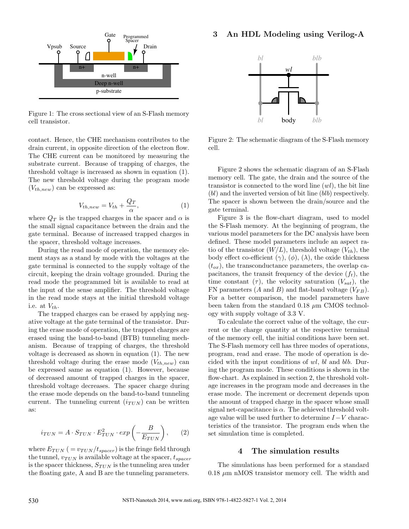### 3 An HDL Modeling using Verilog-A



Figure 1: The cross sectional view of an S-Flash memory cell transistor.

contact. Hence, the CHE mechanism contributes to the drain current, in opposite direction of the electron flow. The CHE current can be monitored by measuring the substrate current. Because of trapping of charges, the threshold voltage is increased as shown in equation (1). The new threshold voltage during the program mode  $(V_{th,new})$  can be expressed as:

$$
V_{th,new} = V_{th} + \frac{Q_T}{\alpha},\tag{1}
$$

where  $Q_T$  is the trapped charges in the spacer and  $\alpha$  is the small signal capacitance between the drain and the gate terminal. Because of increased trapped charges in the spacer, threshold voltage increases.

During the read mode of operation, the memory element stays as a stand by mode with the voltages at the gate terminal is connected to the supply voltage of the circuit, keeping the drain voltage grounded. During the read mode the programmed bit is available to read at the input of the sense amplifier. The threshold voltage in the read mode stays at the initial threshold voltage i.e. at  $V_{th}$ .

The trapped charges can be erased by applying negative voltage at the gate terminal of the transistor. During the erase mode of operation, the trapped charges are erased using the band-to-band (BTB) tunneling mechanism. Because of trapping of charges, the threshold voltage is decreased as shown in equation (1). The new threshold voltage during the erase mode  $(V_{th,new})$  can be expressed same as equation (1). However, because of decreased amount of trapped charges in the spacer, threshold voltage decreases. The spacer charge during the erase mode depends on the band-to-band tunneling current. The tunneling current  $(i_{TUN})$  can be written as:

$$
i_{TUN} = A \cdot S_{TUN} \cdot E_{TUN}^2 \cdot exp\left(-\frac{B}{E_{TUN}}\right),\qquad(2)
$$

where  $E_{TUN}$  ( =  $v_{TUN}/t_{space}$ ) is the fringe field through the tunnel,  $v_{TUN}$  is available voltage at the spacer,  $t_{space}$ is the spacer thickness,  $S_{TUN}$  is the tunneling area under the floating gate, A and B are the tunneling parameters.



Figure 2: The schematic diagram of the S-Flash memory cell.

Figure 2 shows the schematic diagram of an S-Flash memory cell. The gate, the drain and the source of the transistor is connected to the word line  $(wl)$ , the bit line (bl) and the inverted version of bit line (blb) respectively. The spacer is shown between the drain/source and the gate terminal.

Figure 3 is the flow-chart diagram, used to model the S-Flash memory. At the beginning of program, the various model parameters for the DC analysis have been defined. These model parameters include an aspect ratio of the transistor  $(W/L)$ , threshold voltage  $(V_{th})$ , the body effect co-efficient  $(\gamma)$ ,  $(\phi)$ ,  $(\lambda)$ , the oxide thickness  $(t_{ox})$ , the transconductance parameters, the overlap capacitances, the transit frequency of the device  $(f_t)$ , the time constant  $(\tau)$ , the velocity saturation  $(V_{sat})$ , the FN parameters  $(A \text{ and } B)$  and flat-band voltage  $(V_{FB})$ . For a better comparison, the model parameters have been taken from the standard  $0.18 \mu m$  CMOS technology with supply voltage of 3.3 V.

To calculate the correct value of the voltage, the current or the charge quantity at the respective terminal of the memory cell, the initial conditions have been set. The S-Flash memory cell has three modes of operations, program, read and erase. The mode of operation is decided with the input conditions of wl, bl and blb. During the program mode. These conditions is shown in the flow-chart. As explained in section 2, the threshold voltage increases in the program mode and decreases in the erase mode. The increment or decrement depends upon the amount of trapped charge in the spacer whose small signal net-capacitance is  $\alpha$ . The achieved threshold voltage value will be used further to determine I−V characteristics of the transistor. The program ends when the set simulation time is completed.

#### 4 The simulation results

The simulations has been performed for a standard  $0.18 \mu m$  nMOS transistor memory cell. The width and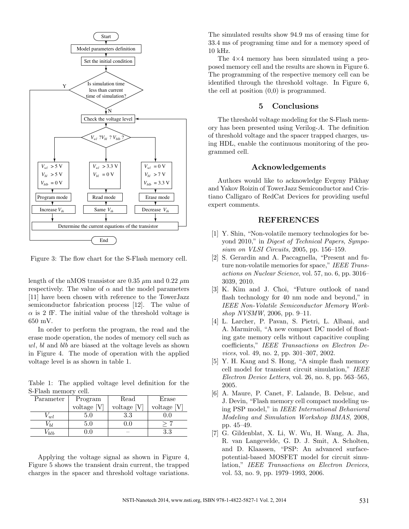

Figure 3: The flow chart for the S-Flash memory cell.

length of the nMOS transistor are 0.35  $\mu$ m and 0.22  $\mu$ m respectively. The value of  $\alpha$  and the model parameters [11] have been chosen with reference to the TowerJazz semiconductor fabrication process [12]. The value of  $\alpha$  is 2 fF. The initial value of the threshold voltage is 650 mV.

In order to perform the program, the read and the erase mode operation, the nodes of memory cell such as wl, bl and blb are biased at the voltage levels as shown in Figure 4. The mode of operation with the applied voltage level is as shown in table 1.

Table 1: The applied voltage level definition for the S-Flash memory cell.

| Parameter | Program       | Read          | Erase         |
|-----------|---------------|---------------|---------------|
|           | voltage $[V]$ | voltage $[V]$ | voltage $[V]$ |
| V w l     | $5.0\,$       | $3.3\,$       |               |
| /Ы        | $5.0\,$       |               |               |
| 'bb       |               |               | 3.3           |

Applying the voltage signal as shown in Figure 4, Figure 5 shows the transient drain current, the trapped charges in the spacer and threshold voltage variations. The simulated results show 94.9 ms of erasing time for 33.4 ms of programing time and for a memory speed of 10 kHz.

The 4×4 memory has been simulated using a proposed memory cell and the results are shown in Figure 6. The programming of the respective memory cell can be identified through the threshold voltage. In Figure 6, the cell at position (0,0) is programmed.

# 5 Conclusions

The threshold voltage modeling for the S-Flash memory has been presented using Verilog-A. The definition of threshold voltage and the spacer trapped charges, using HDL, enable the continuous monitoring of the programmed cell.

#### Acknowledgements

Authors would like to acknowledge Evgeny Pikhay and Yakov Roizin of TowerJazz Semiconductor and Cristiano Calligaro of RedCat Devices for providing useful expert comments.

### REFERENCES

- [1] Y. Shin, "Non-volatile memory technologies for beyond 2010," in Digest of Technical Papers, Symposium on *VLSI Circuits*, 2005, pp. 156–159.
- [2] S. Gerardin and A. Paccagnella, "Present and future non-volatile memories for space," IEEE Transactions on Nuclear Science, vol. 57, no. 6, pp. 3016– 3039, 2010.
- [3] K. Kim and J. Choi, "Future outlook of nand flash technology for 40 nm node and beyond," in IEEE Non-Volatile Semiconductor Memory Workshop NVSMW, 2006, pp. 9–11.
- [4] L. Larcher, P. Pavan, S. Pietri, L. Albani, and A. Marmiroli, "A new compact DC model of floating gate memory cells without capacitive coupling coefficients," IEEE Transactions on Electron Devices, vol. 49, no. 2, pp. 301–307, 2002.
- [5] Y. H. Kang and S. Hong, "A simple flash memory cell model for transient circuit simulation," IEEE Electron Device Letters, vol. 26, no. 8, pp. 563–565, 2005.
- [6] A. Maure, P. Canet, F. Lalande, B. Delsuc, and J. Devin, "Flash memory cell compact modeling using PSP model," in IEEE International Behavioral Modeling and Simulation Workshop BMAS, 2008, pp. 45–49.
- [7] G. Gildenblat, X. Li, W. Wu, H. Wang, A. Jha, R. van Langevelde, G. D. J. Smit, A. Scholten, and D. Klaassen, "PSP: An advanced surfacepotential-based MOSFET model for circuit simulation," IEEE Transactions on Electron Devices, vol. 53, no. 9, pp. 1979–1993, 2006.